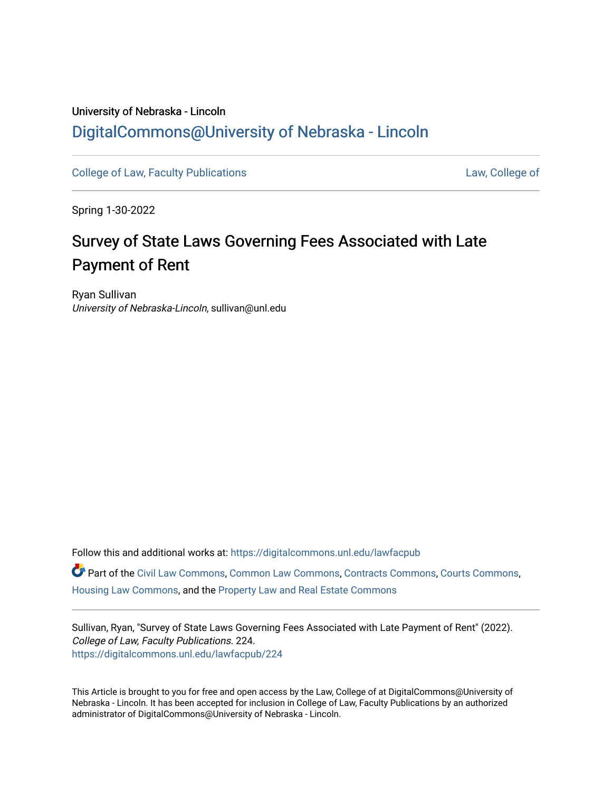# University of Nebraska - Lincoln [DigitalCommons@University of Nebraska - Lincoln](https://digitalcommons.unl.edu/)

[College of Law, Faculty Publications](https://digitalcommons.unl.edu/lawfacpub) [Law, College of](https://digitalcommons.unl.edu/law) Law, College of

Spring 1-30-2022

# Survey of State Laws Governing Fees Associated with Late Payment of Rent

Ryan Sullivan University of Nebraska-Lincoln, sullivan@unl.edu

Follow this and additional works at: [https://digitalcommons.unl.edu/lawfacpub](https://digitalcommons.unl.edu/lawfacpub?utm_source=digitalcommons.unl.edu%2Flawfacpub%2F224&utm_medium=PDF&utm_campaign=PDFCoverPages)  Part of the [Civil Law Commons](http://network.bepress.com/hgg/discipline/835?utm_source=digitalcommons.unl.edu%2Flawfacpub%2F224&utm_medium=PDF&utm_campaign=PDFCoverPages), [Common Law Commons](http://network.bepress.com/hgg/discipline/1120?utm_source=digitalcommons.unl.edu%2Flawfacpub%2F224&utm_medium=PDF&utm_campaign=PDFCoverPages), [Contracts Commons](http://network.bepress.com/hgg/discipline/591?utm_source=digitalcommons.unl.edu%2Flawfacpub%2F224&utm_medium=PDF&utm_campaign=PDFCoverPages), [Courts Commons](http://network.bepress.com/hgg/discipline/839?utm_source=digitalcommons.unl.edu%2Flawfacpub%2F224&utm_medium=PDF&utm_campaign=PDFCoverPages), [Housing Law Commons](http://network.bepress.com/hgg/discipline/846?utm_source=digitalcommons.unl.edu%2Flawfacpub%2F224&utm_medium=PDF&utm_campaign=PDFCoverPages), and the [Property Law and Real Estate Commons](http://network.bepress.com/hgg/discipline/897?utm_source=digitalcommons.unl.edu%2Flawfacpub%2F224&utm_medium=PDF&utm_campaign=PDFCoverPages)

Sullivan, Ryan, "Survey of State Laws Governing Fees Associated with Late Payment of Rent" (2022). College of Law, Faculty Publications. 224. [https://digitalcommons.unl.edu/lawfacpub/224](https://digitalcommons.unl.edu/lawfacpub/224?utm_source=digitalcommons.unl.edu%2Flawfacpub%2F224&utm_medium=PDF&utm_campaign=PDFCoverPages) 

This Article is brought to you for free and open access by the Law, College of at DigitalCommons@University of Nebraska - Lincoln. It has been accepted for inclusion in College of Law, Faculty Publications by an authorized administrator of DigitalCommons@University of Nebraska - Lincoln.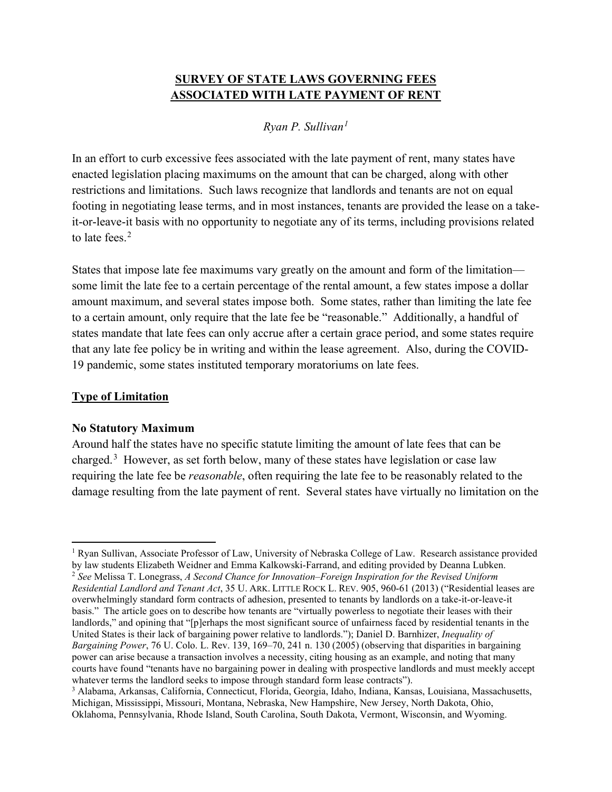## **SURVEY OF STATE LAWS GOVERNING FEES ASSOCIATED WITH LATE PAYMENT OF RENT**

# *Ryan P. Sullivan[1](#page-1-0)*

In an effort to curb excessive fees associated with the late payment of rent, many states have enacted legislation placing maximums on the amount that can be charged, along with other restrictions and limitations. Such laws recognize that landlords and tenants are not on equal footing in negotiating lease terms, and in most instances, tenants are provided the lease on a takeit-or-leave-it basis with no opportunity to negotiate any of its terms, including provisions related to late fees. [2](#page-1-1)

States that impose late fee maximums vary greatly on the amount and form of the limitation some limit the late fee to a certain percentage of the rental amount, a few states impose a dollar amount maximum, and several states impose both. Some states, rather than limiting the late fee to a certain amount, only require that the late fee be "reasonable." Additionally, a handful of states mandate that late fees can only accrue after a certain grace period, and some states require that any late fee policy be in writing and within the lease agreement. Also, during the COVID-19 pandemic, some states instituted temporary moratoriums on late fees.

#### **Type of Limitation**

#### **No Statutory Maximum**

Around half the states have no specific statute limiting the amount of late fees that can be charged.<sup>[3](#page-1-2)</sup> However, as set forth below, many of these states have legislation or case law requiring the late fee be *reasonable*, often requiring the late fee to be reasonably related to the damage resulting from the late payment of rent. Several states have virtually no limitation on the

<span id="page-1-1"></span><span id="page-1-0"></span><sup>1</sup> Ryan Sullivan, Associate Professor of Law, University of Nebraska College of Law. Research assistance provided by law students Elizabeth Weidner and Emma Kalkowski-Farrand, and editing provided by Deanna Lubken. 2 *See* Melissa T. Lonegrass, *A Second Chance for Innovation–Foreign Inspiration for the Revised Uniform Residential Landlord and Tenant Act*, 35 U. ARK. LITTLE ROCK L. REV. 905, 960-61 (2013) ("Residential leases are overwhelmingly standard form contracts of adhesion, presented to tenants by landlords on a take-it-or-leave-it basis." The article goes on to describe how tenants are "virtually powerless to negotiate their leases with their landlords," and opining that "[p]erhaps the most significant source of unfairness faced by residential tenants in the United States is their lack of bargaining power relative to landlords."); Daniel D. Barnhizer, *Inequality of Bargaining Power*, 76 U. Colo. L. Rev. 139, 169–70, 241 n. 130 (2005) (observing that disparities in bargaining power can arise because a transaction involves a necessity, citing housing as an example, and noting that many courts have found "tenants have no bargaining power in dealing with prospective landlords and must meekly accept whatever terms the landlord seeks to impose through standard form lease contracts").

<span id="page-1-2"></span><sup>3</sup> Alabama, Arkansas, California, Connecticut, Florida, Georgia, Idaho, Indiana, Kansas, Louisiana, Massachusetts, Michigan, Mississippi, Missouri, Montana, Nebraska, New Hampshire, New Jersey, North Dakota, Ohio, Oklahoma, Pennsylvania, Rhode Island, South Carolina, South Dakota, Vermont, Wisconsin, and Wyoming.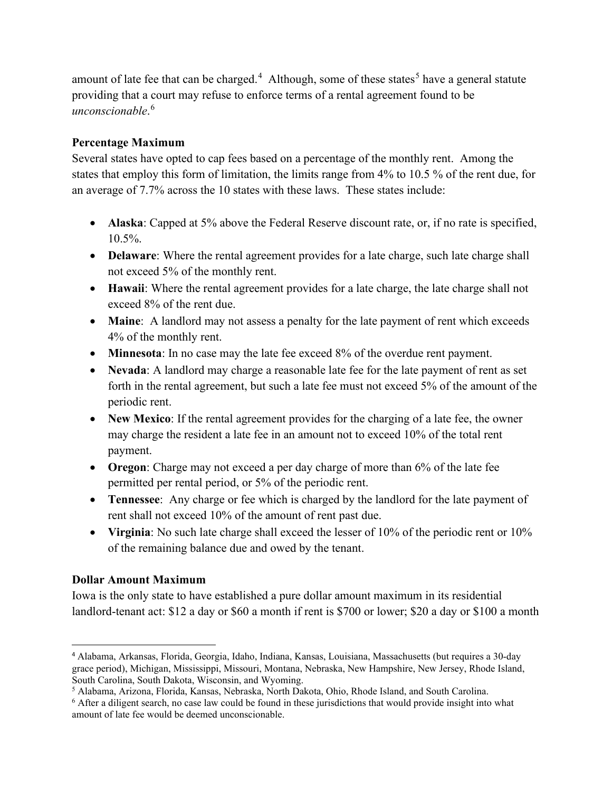amount of late fee that can be charged.<sup>[4](#page-2-0)</sup> Although, some of these states<sup>[5](#page-2-1)</sup> have a general statute providing that a court may refuse to enforce terms of a rental agreement found to be *unconscionable*. [6](#page-2-2)

#### **Percentage Maximum**

Several states have opted to cap fees based on a percentage of the monthly rent. Among the states that employ this form of limitation, the limits range from 4% to 10.5 % of the rent due, for an average of 7.7% across the 10 states with these laws. These states include:

- **Alaska**: Capped at 5% above the Federal Reserve discount rate, or, if no rate is specified, 10.5%.
- **Delaware**: Where the rental agreement provides for a late charge, such late charge shall not exceed 5% of the monthly rent.
- **Hawaii**: Where the rental agreement provides for a late charge, the late charge shall not exceed 8% of the rent due.
- **Maine**: A landlord may not assess a penalty for the late payment of rent which exceeds 4% of the monthly rent.
- **Minnesota**: In no case may the late fee exceed 8% of the overdue rent payment.
- **Nevada**: A landlord may charge a reasonable late fee for the late payment of rent as set forth in the rental agreement, but such a late fee must not exceed 5% of the amount of the periodic rent.
- **New Mexico**: If the rental agreement provides for the charging of a late fee, the owner may charge the resident a late fee in an amount not to exceed 10% of the total rent payment.
- **Oregon**: Charge may not exceed a per day charge of more than 6% of the late fee permitted per rental period, or 5% of the periodic rent.
- **Tennessee**: Any charge or fee which is charged by the landlord for the late payment of rent shall not exceed 10% of the amount of rent past due.
- **Virginia**: No such late charge shall exceed the lesser of 10% of the periodic rent or 10% of the remaining balance due and owed by the tenant.

# **Dollar Amount Maximum**

Iowa is the only state to have established a pure dollar amount maximum in its residential landlord-tenant act: \$12 a day or \$60 a month if rent is \$700 or lower; \$20 a day or \$100 a month

<span id="page-2-0"></span><sup>4</sup> Alabama, Arkansas, Florida, Georgia, Idaho, Indiana, Kansas, Louisiana, Massachusetts (but requires a 30-day grace period), Michigan, Mississippi, Missouri, Montana, Nebraska, New Hampshire, New Jersey, Rhode Island, South Carolina, South Dakota, Wisconsin, and Wyoming.<br><sup>5</sup> Alabama, Arizona, Florida, Kansas, Nebraska, North Dakota, Ohio, Rhode Island, and South Carolina.

<span id="page-2-2"></span><span id="page-2-1"></span><sup>6</sup> After a diligent search, no case law could be found in these jurisdictions that would provide insight into what amount of late fee would be deemed unconscionable.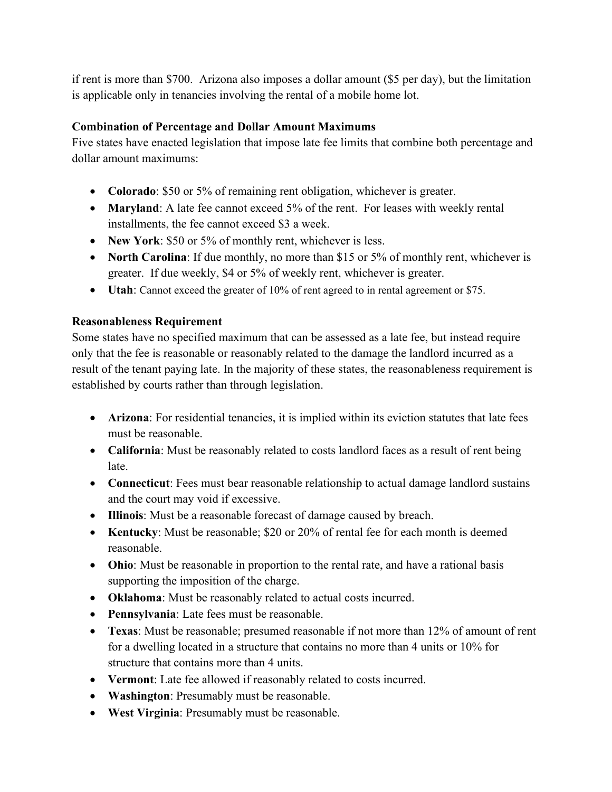if rent is more than \$700. Arizona also imposes a dollar amount (\$5 per day), but the limitation is applicable only in tenancies involving the rental of a mobile home lot.

## **Combination of Percentage and Dollar Amount Maximums**

Five states have enacted legislation that impose late fee limits that combine both percentage and dollar amount maximums:

- **Colorado**: \$50 or 5% of remaining rent obligation, whichever is greater.
- **Maryland**: A late fee cannot exceed 5% of the rent. For leases with weekly rental installments, the fee cannot exceed \$3 a week.
- **New York:** \$50 or 5% of monthly rent, whichever is less.
- **North Carolina**: If due monthly, no more than \$15 or 5% of monthly rent, whichever is greater. If due weekly, \$4 or 5% of weekly rent, whichever is greater.
- **Utah**: Cannot exceed the greater of 10% of rent agreed to in rental agreement or \$75.

#### **Reasonableness Requirement**

Some states have no specified maximum that can be assessed as a late fee, but instead require only that the fee is reasonable or reasonably related to the damage the landlord incurred as a result of the tenant paying late. In the majority of these states, the reasonableness requirement is established by courts rather than through legislation.

- **Arizona**: For residential tenancies, it is implied within its eviction statutes that late fees must be reasonable.
- **California**: Must be reasonably related to costs landlord faces as a result of rent being late.
- **Connecticut:** Fees must bear reasonable relationship to actual damage landlord sustains and the court may void if excessive.
- **Illinois**: Must be a reasonable forecast of damage caused by breach.
- **Kentucky**: Must be reasonable; \$20 or 20% of rental fee for each month is deemed reasonable.
- **Ohio**: Must be reasonable in proportion to the rental rate, and have a rational basis supporting the imposition of the charge.
- **Oklahoma**: Must be reasonably related to actual costs incurred.
- **Pennsylvania**: Late fees must be reasonable.
- **Texas**: Must be reasonable; presumed reasonable if not more than 12% of amount of rent for a dwelling located in a structure that contains no more than 4 units or 10% for structure that contains more than 4 units.
- **Vermont**: Late fee allowed if reasonably related to costs incurred.
- **Washington**: Presumably must be reasonable.
- **West Virginia**: Presumably must be reasonable.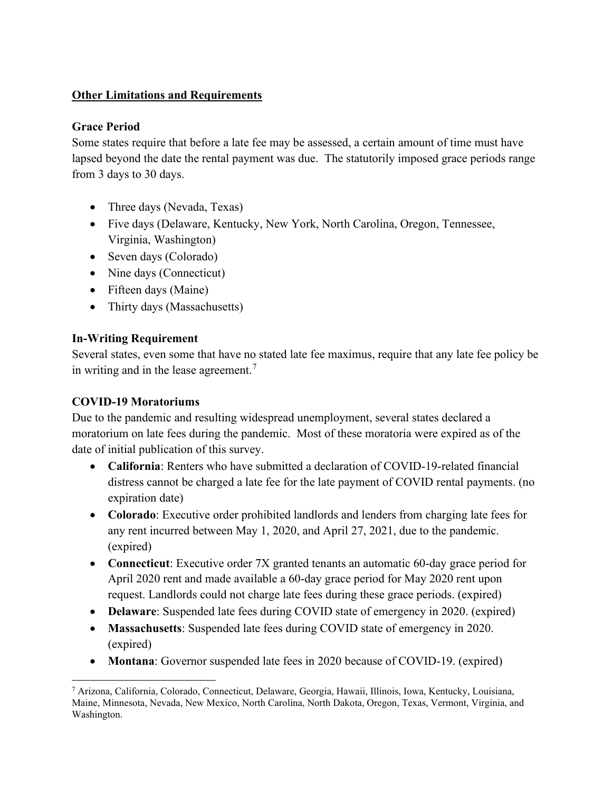## **Other Limitations and Requirements**

#### **Grace Period**

Some states require that before a late fee may be assessed, a certain amount of time must have lapsed beyond the date the rental payment was due. The statutorily imposed grace periods range from 3 days to 30 days.

- Three days (Nevada, Texas)
- Five days (Delaware, Kentucky, New York, North Carolina, Oregon, Tennessee, Virginia, Washington)
- Seven days (Colorado)
- Nine days (Connecticut)
- Fifteen days (Maine)
- Thirty days (Massachusetts)

#### **In-Writing Requirement**

Several states, even some that have no stated late fee maximus, require that any late fee policy be in writing and in the lease agreement.<sup>[7](#page-4-0)</sup>

#### **COVID-19 Moratoriums**

Due to the pandemic and resulting widespread unemployment, several states declared a moratorium on late fees during the pandemic. Most of these moratoria were expired as of the date of initial publication of this survey.

- **California**: Renters who have submitted a declaration of COVID-19-related financial distress cannot be charged a late fee for the late payment of COVID rental payments. (no expiration date)
- **Colorado**: Executive order prohibited landlords and lenders from charging late fees for any rent incurred between May 1, 2020, and April 27, 2021, due to the pandemic. (expired)
- **Connecticut**: Executive order 7X granted tenants an automatic 60-day grace period for April 2020 rent and made available a 60-day grace period for May 2020 rent upon request. Landlords could not charge late fees during these grace periods. (expired)
- **Delaware**: Suspended late fees during COVID state of emergency in 2020. (expired)
- **Massachusetts**: Suspended late fees during COVID state of emergency in 2020. (expired)
- **Montana**: Governor suspended late fees in 2020 because of COVID-19. (expired)

<span id="page-4-0"></span><sup>7</sup> Arizona, California, Colorado, Connecticut, Delaware, Georgia, Hawaii, Illinois, Iowa, Kentucky, Louisiana, Maine, Minnesota, Nevada, New Mexico, North Carolina, North Dakota, Oregon, Texas, Vermont, Virginia, and Washington.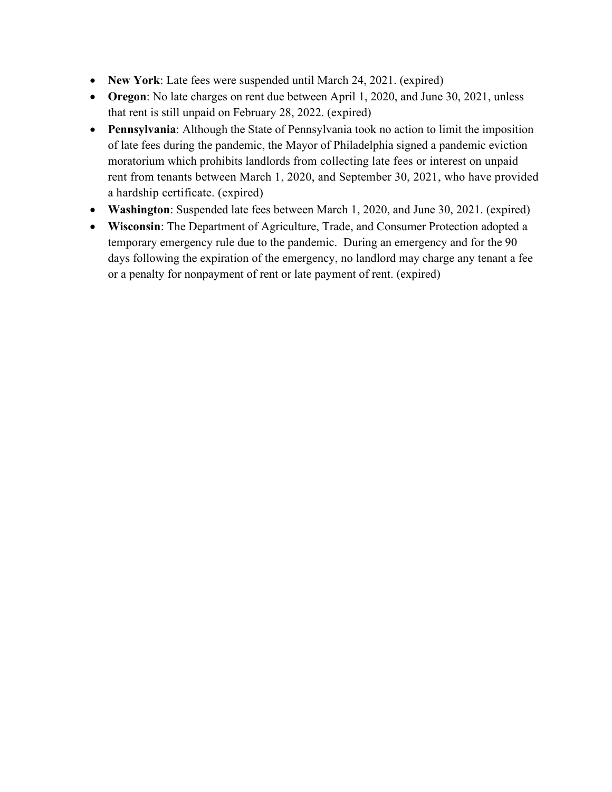- **New York**: Late fees were suspended until March 24, 2021. (expired)
- **Oregon**: No late charges on rent due between April 1, 2020, and June 30, 2021, unless that rent is still unpaid on February 28, 2022. (expired)
- **Pennsylvania**: Although the State of Pennsylvania took no action to limit the imposition of late fees during the pandemic, the Mayor of Philadelphia signed a pandemic eviction moratorium which prohibits landlords from collecting late fees or interest on unpaid rent from tenants between March 1, 2020, and September 30, 2021, who have provided a hardship certificate. (expired)
- **Washington**: Suspended late fees between March 1, 2020, and June 30, 2021. (expired)
- **Wisconsin**: The Department of Agriculture, Trade, and Consumer Protection adopted a temporary emergency rule due to the pandemic. During an emergency and for the 90 days following the expiration of the emergency, no landlord may charge any tenant a fee or a penalty for nonpayment of rent or late payment of rent. (expired)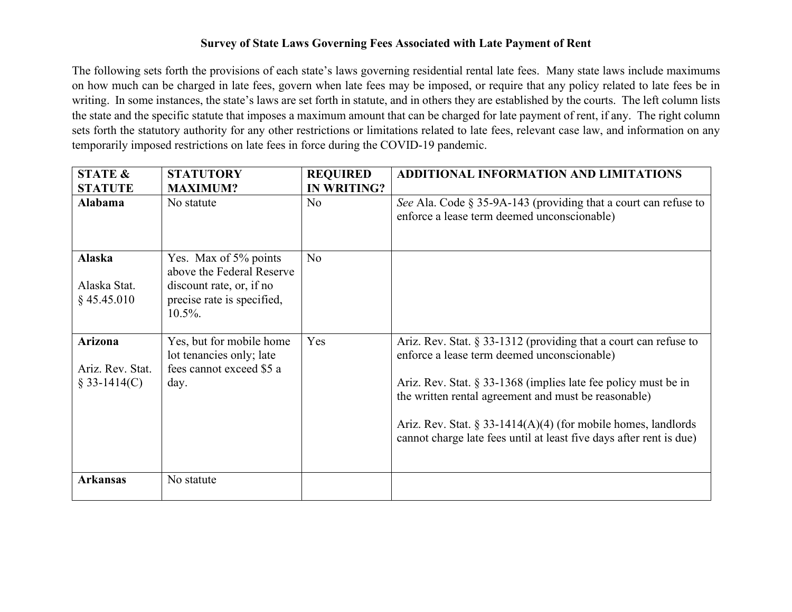#### **Survey of State Laws Governing Fees Associated with Late Payment of Rent**

The following sets forth the provisions of each state's laws governing residential rental late fees. Many state laws include maximums on how much can be charged in late fees, govern when late fees may be imposed, or require that any policy related to late fees be in writing. In some instances, the state's laws are set forth in statute, and in others they are established by the courts. The left column lists the state and the specific statute that imposes a maximum amount that can be charged for late payment of rent, if any. The right column sets forth the statutory authority for any other restrictions or limitations related to late fees, relevant case law, and information on any temporarily imposed restrictions on late fees in force during the COVID-19 pandemic.

| <b>STATE &amp;</b>                                   | <b>STATUTORY</b>                                                                                                           | <b>REQUIRED</b>    | <b>ADDITIONAL INFORMATION AND LIMITATIONS</b>                                                                                                                                                                                                                                                                                                                                           |
|------------------------------------------------------|----------------------------------------------------------------------------------------------------------------------------|--------------------|-----------------------------------------------------------------------------------------------------------------------------------------------------------------------------------------------------------------------------------------------------------------------------------------------------------------------------------------------------------------------------------------|
| <b>STATUTE</b>                                       | <b>MAXIMUM?</b>                                                                                                            | <b>IN WRITING?</b> |                                                                                                                                                                                                                                                                                                                                                                                         |
| Alabama                                              | No statute                                                                                                                 | No                 | See Ala. Code $\S 35$ -9A-143 (providing that a court can refuse to<br>enforce a lease term deemed unconscionable)                                                                                                                                                                                                                                                                      |
| <b>Alaska</b><br>Alaska Stat.<br>$§$ 45.45.010       | Yes. Max of 5% points<br>above the Federal Reserve<br>discount rate, or, if no<br>precise rate is specified,<br>$10.5\%$ . | N <sub>o</sub>     |                                                                                                                                                                                                                                                                                                                                                                                         |
| <b>Arizona</b><br>Ariz. Rev. Stat.<br>$§$ 33-1414(C) | Yes, but for mobile home<br>lot tenancies only; late<br>fees cannot exceed \$5 a<br>day.                                   | Yes                | Ariz. Rev. Stat. $\S$ 33-1312 (providing that a court can refuse to<br>enforce a lease term deemed unconscionable)<br>Ariz. Rev. Stat. $\S 33-1368$ (implies late fee policy must be in<br>the written rental agreement and must be reasonable)<br>Ariz. Rev. Stat. § 33-1414(A)(4) (for mobile homes, landlords<br>cannot charge late fees until at least five days after rent is due) |
| <b>Arkansas</b>                                      | No statute                                                                                                                 |                    |                                                                                                                                                                                                                                                                                                                                                                                         |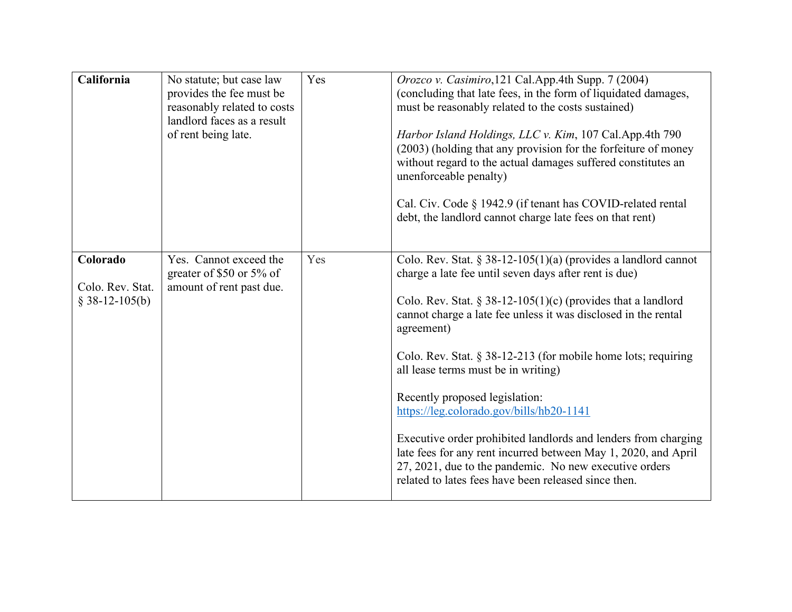| California                                      | No statute; but case law<br>provides the fee must be<br>reasonably related to costs<br>landlord faces as a result<br>of rent being late. | Yes | Orozco v. Casimiro, 121 Cal. App. 4th Supp. 7 (2004)<br>(concluding that late fees, in the form of liquidated damages,<br>must be reasonably related to the costs sustained)<br>Harbor Island Holdings, LLC v. Kim, 107 Cal.App.4th 790<br>(2003) (holding that any provision for the forfeiture of money<br>without regard to the actual damages suffered constitutes an<br>unenforceable penalty)<br>Cal. Civ. Code § 1942.9 (if tenant has COVID-related rental<br>debt, the landlord cannot charge late fees on that rent)                                                                                                                                                                                      |
|-------------------------------------------------|------------------------------------------------------------------------------------------------------------------------------------------|-----|---------------------------------------------------------------------------------------------------------------------------------------------------------------------------------------------------------------------------------------------------------------------------------------------------------------------------------------------------------------------------------------------------------------------------------------------------------------------------------------------------------------------------------------------------------------------------------------------------------------------------------------------------------------------------------------------------------------------|
| Colorado<br>Colo. Rev. Stat.<br>$$38-12-105(b)$ | Yes. Cannot exceed the<br>greater of \$50 or 5% of<br>amount of rent past due.                                                           | Yes | Colo. Rev. Stat. § 38-12-105(1)(a) (provides a landlord cannot<br>charge a late fee until seven days after rent is due)<br>Colo. Rev. Stat. § 38-12-105(1)(c) (provides that a landlord<br>cannot charge a late fee unless it was disclosed in the rental<br>agreement)<br>Colo. Rev. Stat. § 38-12-213 (for mobile home lots; requiring<br>all lease terms must be in writing)<br>Recently proposed legislation:<br>https://leg.colorado.gov/bills/hb20-1141<br>Executive order prohibited landlords and lenders from charging<br>late fees for any rent incurred between May 1, 2020, and April<br>27, 2021, due to the pandemic. No new executive orders<br>related to lates fees have been released since then. |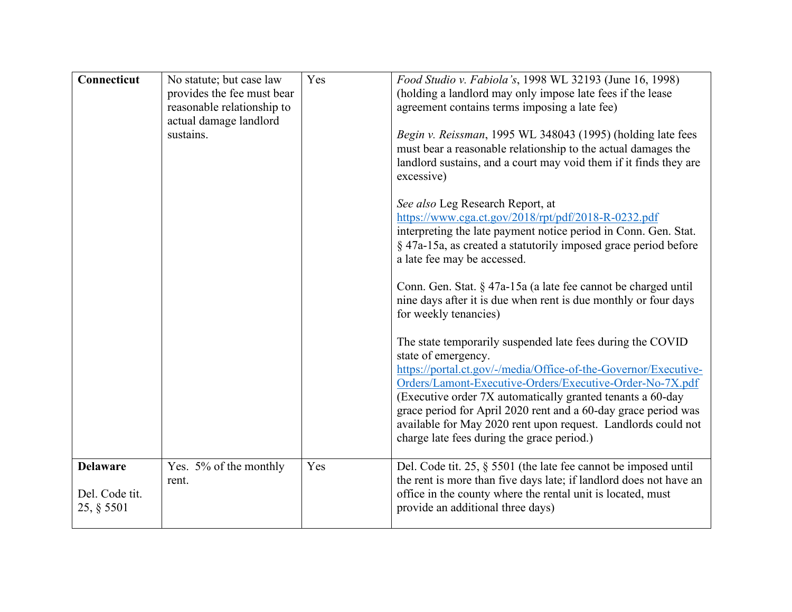| Connecticut                                     | No statute; but case law<br>provides the fee must bear<br>reasonable relationship to<br>actual damage landlord<br>sustains. | Yes | Food Studio v. Fabiola's, 1998 WL 32193 (June 16, 1998)<br>(holding a landlord may only impose late fees if the lease<br>agreement contains terms imposing a late fee)<br>Begin v. Reissman, 1995 WL 348043 (1995) (holding late fees<br>must bear a reasonable relationship to the actual damages the<br>landlord sustains, and a court may void them if it finds they are<br>excessive)<br>See also Leg Research Report, at<br>https://www.cga.ct.gov/2018/rpt/pdf/2018-R-0232.pdf<br>interpreting the late payment notice period in Conn. Gen. Stat.<br>§ 47a-15a, as created a statutorily imposed grace period before<br>a late fee may be accessed.<br>Conn. Gen. Stat. § 47a-15a (a late fee cannot be charged until<br>nine days after it is due when rent is due monthly or four days<br>for weekly tenancies)<br>The state temporarily suspended late fees during the COVID<br>state of emergency.<br>https://portal.ct.gov/-/media/Office-of-the-Governor/Executive-<br>Orders/Lamont-Executive-Orders/Executive-Order-No-7X.pdf<br>(Executive order 7X automatically granted tenants a 60-day |
|-------------------------------------------------|-----------------------------------------------------------------------------------------------------------------------------|-----|-----------------------------------------------------------------------------------------------------------------------------------------------------------------------------------------------------------------------------------------------------------------------------------------------------------------------------------------------------------------------------------------------------------------------------------------------------------------------------------------------------------------------------------------------------------------------------------------------------------------------------------------------------------------------------------------------------------------------------------------------------------------------------------------------------------------------------------------------------------------------------------------------------------------------------------------------------------------------------------------------------------------------------------------------------------------------------------------------------------|
|                                                 |                                                                                                                             |     | grace period for April 2020 rent and a 60-day grace period was<br>available for May 2020 rent upon request. Landlords could not<br>charge late fees during the grace period.)                                                                                                                                                                                                                                                                                                                                                                                                                                                                                                                                                                                                                                                                                                                                                                                                                                                                                                                             |
| <b>Delaware</b><br>Del. Code tit.<br>25, § 5501 | Yes. 5% of the monthly<br>rent.                                                                                             | Yes | Del. Code tit. 25, $\S$ 5501 (the late fee cannot be imposed until<br>the rent is more than five days late; if landlord does not have an<br>office in the county where the rental unit is located, must<br>provide an additional three days)                                                                                                                                                                                                                                                                                                                                                                                                                                                                                                                                                                                                                                                                                                                                                                                                                                                              |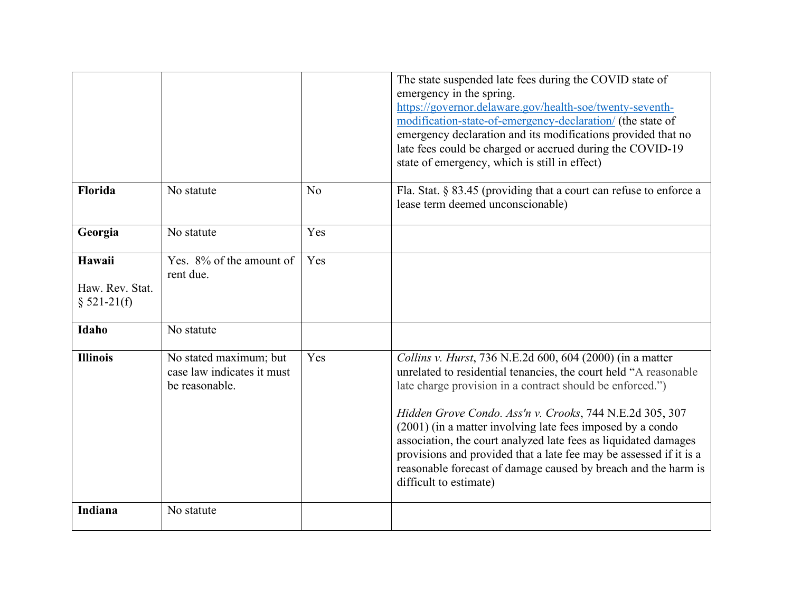|                 |                            |                | The state suspended late fees during the COVID state of               |
|-----------------|----------------------------|----------------|-----------------------------------------------------------------------|
|                 |                            |                | emergency in the spring.                                              |
|                 |                            |                | https://governor.delaware.gov/health-soe/twenty-seventh-              |
|                 |                            |                | modification-state-of-emergency-declaration/ (the state of            |
|                 |                            |                | emergency declaration and its modifications provided that no          |
|                 |                            |                | late fees could be charged or accrued during the COVID-19             |
|                 |                            |                | state of emergency, which is still in effect)                         |
|                 |                            |                |                                                                       |
| Florida         | No statute                 | N <sub>o</sub> | Fla. Stat. $\S$ 83.45 (providing that a court can refuse to enforce a |
|                 |                            |                | lease term deemed unconscionable)                                     |
|                 |                            |                |                                                                       |
| Georgia         | No statute                 | Yes            |                                                                       |
|                 |                            |                |                                                                       |
| Hawaii          | Yes. 8% of the amount of   | Yes            |                                                                       |
|                 | rent due.                  |                |                                                                       |
| Haw. Rev. Stat. |                            |                |                                                                       |
| $$521-21(f)$    |                            |                |                                                                       |
|                 |                            |                |                                                                       |
| Idaho           | No statute                 |                |                                                                       |
|                 |                            |                |                                                                       |
| <b>Illinois</b> | No stated maximum; but     | Yes            | Collins v. Hurst, 736 N.E.2d 600, 604 (2000) (in a matter             |
|                 | case law indicates it must |                | unrelated to residential tenancies, the court held "A reasonable      |
|                 | be reasonable.             |                | late charge provision in a contract should be enforced.")             |
|                 |                            |                |                                                                       |
|                 |                            |                | Hidden Grove Condo. Ass'n v. Crooks, 744 N.E.2d 305, 307              |
|                 |                            |                | (2001) (in a matter involving late fees imposed by a condo            |
|                 |                            |                | association, the court analyzed late fees as liquidated damages       |
|                 |                            |                | provisions and provided that a late fee may be assessed if it is a    |
|                 |                            |                | reasonable forecast of damage caused by breach and the harm is        |
|                 |                            |                | difficult to estimate)                                                |
|                 |                            |                |                                                                       |
| Indiana         | No statute                 |                |                                                                       |
|                 |                            |                |                                                                       |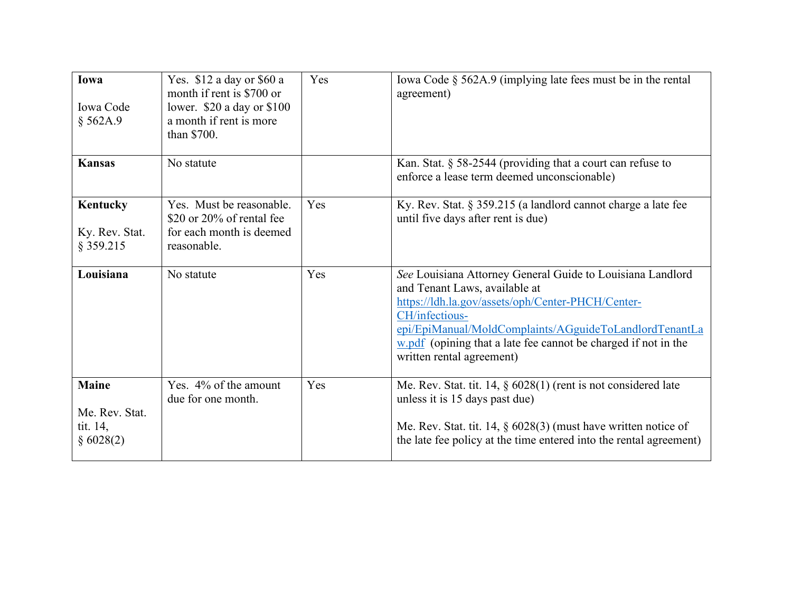| Iowa<br>Iowa Code<br>§ 562A.9                           | Yes. \$12 a day or \$60 a<br>month if rent is \$700 or<br>lower. $$20$ a day or $$100$<br>a month if rent is more<br>than \$700. | Yes | Iowa Code § 562A.9 (implying late fees must be in the rental<br>agreement)                                                                                                                                                                                                                                                    |
|---------------------------------------------------------|----------------------------------------------------------------------------------------------------------------------------------|-----|-------------------------------------------------------------------------------------------------------------------------------------------------------------------------------------------------------------------------------------------------------------------------------------------------------------------------------|
| <b>Kansas</b>                                           | No statute                                                                                                                       |     | Kan. Stat. $\S$ 58-2544 (providing that a court can refuse to<br>enforce a lease term deemed unconscionable)                                                                                                                                                                                                                  |
| Kentucky<br>Ky. Rev. Stat.<br>§ 359.215                 | Yes. Must be reasonable.<br>\$20 or $20\%$ of rental fee<br>for each month is deemed<br>reasonable.                              | Yes | Ky. Rev. Stat. § 359.215 (a landlord cannot charge a late fee<br>until five days after rent is due)                                                                                                                                                                                                                           |
| Louisiana                                               | No statute                                                                                                                       | Yes | See Louisiana Attorney General Guide to Louisiana Landlord<br>and Tenant Laws, available at<br>https://ldh.la.gov/assets/oph/Center-PHCH/Center-<br>CH/infectious-<br>epi/EpiManual/MoldComplaints/AGguideToLandlordTenantLa<br>$w.pdf$ (opining that a late fee cannot be charged if not in the<br>written rental agreement) |
| <b>Maine</b><br>Me. Rev. Stat.<br>tit. 14,<br>§ 6028(2) | Yes. 4% of the amount<br>due for one month.                                                                                      | Yes | Me. Rev. Stat. tit. $14, \S$ 6028(1) (rent is not considered late<br>unless it is 15 days past due)<br>Me. Rev. Stat. tit. 14, $\S$ 6028(3) (must have written notice of<br>the late fee policy at the time entered into the rental agreement)                                                                                |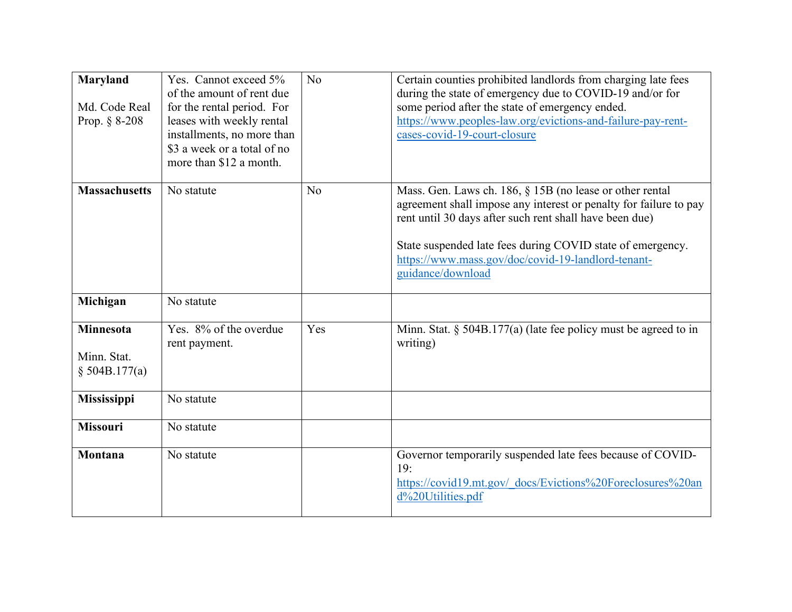| Maryland<br>Md. Code Real<br>Prop. $§ 8-208$       | Yes. Cannot exceed 5%<br>of the amount of rent due<br>for the rental period. For<br>leases with weekly rental<br>installments, no more than<br>\$3 a week or a total of no<br>more than \$12 a month. | No             | Certain counties prohibited landlords from charging late fees<br>during the state of emergency due to COVID-19 and/or for<br>some period after the state of emergency ended.<br>https://www.peoples-law.org/evictions-and-failure-pay-rent-<br>cases-covid-19-court-closure                                                       |
|----------------------------------------------------|-------------------------------------------------------------------------------------------------------------------------------------------------------------------------------------------------------|----------------|-----------------------------------------------------------------------------------------------------------------------------------------------------------------------------------------------------------------------------------------------------------------------------------------------------------------------------------|
| <b>Massachusetts</b>                               | No statute                                                                                                                                                                                            | N <sub>o</sub> | Mass. Gen. Laws ch. 186, § 15B (no lease or other rental<br>agreement shall impose any interest or penalty for failure to pay<br>rent until 30 days after such rent shall have been due)<br>State suspended late fees during COVID state of emergency.<br>https://www.mass.gov/doc/covid-19-landlord-tenant-<br>guidance/download |
| Michigan                                           | No statute                                                                                                                                                                                            |                |                                                                                                                                                                                                                                                                                                                                   |
| <b>Minnesota</b><br>Minn. Stat.<br>$§$ 504B.177(a) | Yes. 8% of the overdue<br>rent payment.                                                                                                                                                               | Yes            | Minn. Stat. $\S$ 504B.177(a) (late fee policy must be agreed to in<br>writing)                                                                                                                                                                                                                                                    |
| Mississippi                                        | No statute                                                                                                                                                                                            |                |                                                                                                                                                                                                                                                                                                                                   |
| <b>Missouri</b>                                    | No statute                                                                                                                                                                                            |                |                                                                                                                                                                                                                                                                                                                                   |
| Montana                                            | No statute                                                                                                                                                                                            |                | Governor temporarily suspended late fees because of COVID-<br>19:<br>https://covid19.mt.gov/ docs/Evictions%20Foreclosures%20an<br>d%20Utilities.pdf                                                                                                                                                                              |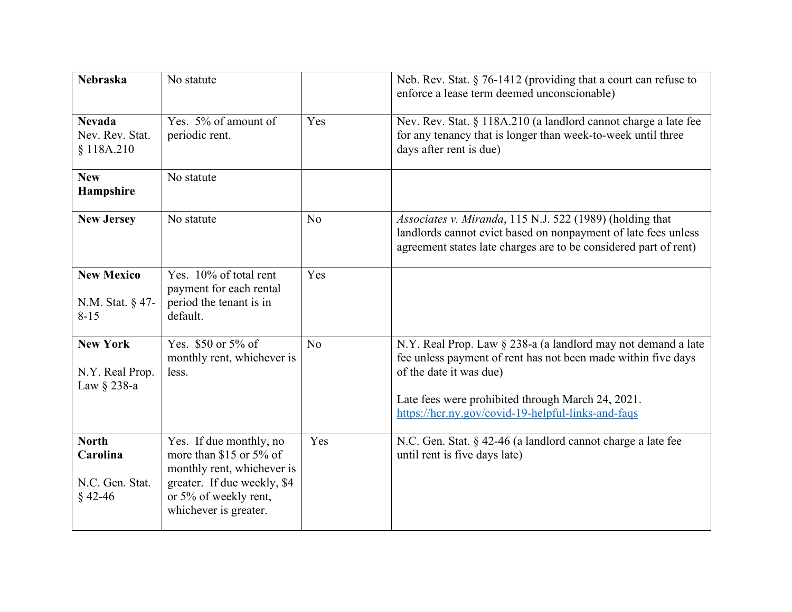| <b>Nebraska</b>                                          | No statute                                                                                                                                                        |                | Neb. Rev. Stat. $\S$ 76-1412 (providing that a court can refuse to<br>enforce a lease term deemed unconscionable)                                                                                                                                                    |
|----------------------------------------------------------|-------------------------------------------------------------------------------------------------------------------------------------------------------------------|----------------|----------------------------------------------------------------------------------------------------------------------------------------------------------------------------------------------------------------------------------------------------------------------|
| <b>Nevada</b><br>Nev. Rev. Stat.<br>\$118A.210           | Yes. 5% of amount of<br>periodic rent.                                                                                                                            | Yes            | Nev. Rev. Stat. § 118A.210 (a landlord cannot charge a late fee<br>for any tenancy that is longer than week-to-week until three<br>days after rent is due)                                                                                                           |
| <b>New</b><br>Hampshire                                  | No statute                                                                                                                                                        |                |                                                                                                                                                                                                                                                                      |
| <b>New Jersey</b>                                        | No statute                                                                                                                                                        | N <sub>o</sub> | Associates v. Miranda, 115 N.J. 522 (1989) (holding that<br>landlords cannot evict based on nonpayment of late fees unless<br>agreement states late charges are to be considered part of rent)                                                                       |
| <b>New Mexico</b><br>N.M. Stat. § 47-<br>$8 - 15$        | Yes. 10% of total rent<br>payment for each rental<br>period the tenant is in<br>default.                                                                          | Yes            |                                                                                                                                                                                                                                                                      |
| <b>New York</b><br>N.Y. Real Prop.<br>Law $\S$ 238-a     | Yes. \$50 or 5% of<br>monthly rent, whichever is<br>less.                                                                                                         | N <sub>o</sub> | N.Y. Real Prop. Law § 238-a (a landlord may not demand a late<br>fee unless payment of rent has not been made within five days<br>of the date it was due)<br>Late fees were prohibited through March 24, 2021.<br>https://hcr.ny.gov/covid-19-helpful-links-and-faqs |
| <b>North</b><br>Carolina<br>N.C. Gen. Stat.<br>$§$ 42-46 | Yes. If due monthly, no<br>more than \$15 or 5% of<br>monthly rent, whichever is<br>greater. If due weekly, \$4<br>or 5% of weekly rent,<br>whichever is greater. | Yes            | N.C. Gen. Stat. § 42-46 (a landlord cannot charge a late fee<br>until rent is five days late)                                                                                                                                                                        |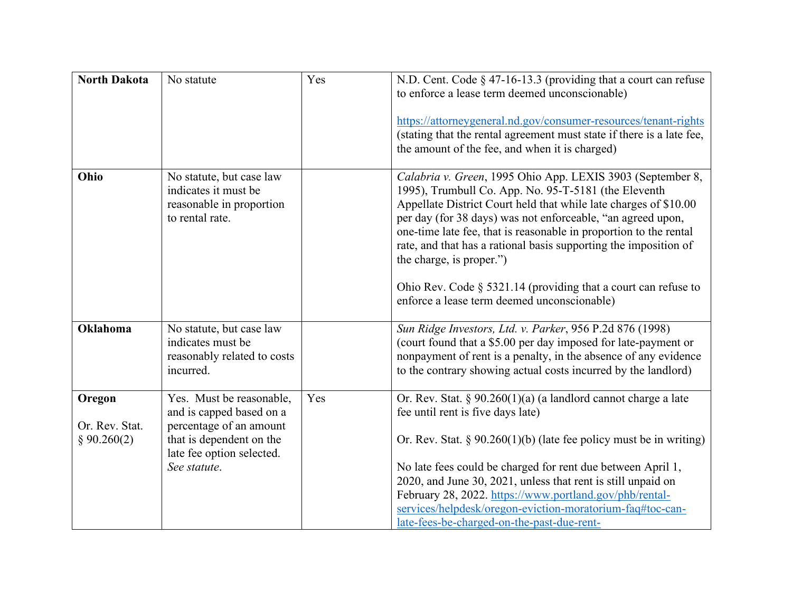| <b>North Dakota</b>                     | No statute                                                                                                                                               | Yes | N.D. Cent. Code $\S$ 47-16-13.3 (providing that a court can refuse<br>to enforce a lease term deemed unconscionable)<br>https://attorneygeneral.nd.gov/consumer-resources/tenant-rights<br>(stating that the rental agreement must state if there is a late fee,<br>the amount of the fee, and when it is charged)                                                                                                                                                                                                                             |
|-----------------------------------------|----------------------------------------------------------------------------------------------------------------------------------------------------------|-----|------------------------------------------------------------------------------------------------------------------------------------------------------------------------------------------------------------------------------------------------------------------------------------------------------------------------------------------------------------------------------------------------------------------------------------------------------------------------------------------------------------------------------------------------|
| Ohio                                    | No statute, but case law<br>indicates it must be<br>reasonable in proportion<br>to rental rate.                                                          |     | Calabria v. Green, 1995 Ohio App. LEXIS 3903 (September 8,<br>1995), Trumbull Co. App. No. 95-T-5181 (the Eleventh<br>Appellate District Court held that while late charges of \$10.00<br>per day (for 38 days) was not enforceable, "an agreed upon,<br>one-time late fee, that is reasonable in proportion to the rental<br>rate, and that has a rational basis supporting the imposition of<br>the charge, is proper.")<br>Ohio Rev. Code $\S$ 5321.14 (providing that a court can refuse to<br>enforce a lease term deemed unconscionable) |
| <b>Oklahoma</b>                         | No statute, but case law<br>indicates must be<br>reasonably related to costs<br>incurred.                                                                |     | Sun Ridge Investors, Ltd. v. Parker, 956 P.2d 876 (1998)<br>(court found that a \$5.00 per day imposed for late-payment or<br>nonpayment of rent is a penalty, in the absence of any evidence<br>to the contrary showing actual costs incurred by the landlord)                                                                                                                                                                                                                                                                                |
| Oregon<br>Or. Rev. Stat.<br>§ 90.260(2) | Yes. Must be reasonable,<br>and is capped based on a<br>percentage of an amount<br>that is dependent on the<br>late fee option selected.<br>See statute. | Yes | Or. Rev. Stat. § $90.260(1)(a)$ (a landlord cannot charge a late<br>fee until rent is five days late)<br>Or. Rev. Stat. $\S 90.260(1)(b)$ (late fee policy must be in writing)<br>No late fees could be charged for rent due between April 1,<br>2020, and June 30, 2021, unless that rent is still unpaid on<br>February 28, 2022. https://www.portland.gov/phb/rental-<br>services/helpdesk/oregon-eviction-moratorium-faq#toc-can-<br>late-fees-be-charged-on-the-past-due-rent-                                                            |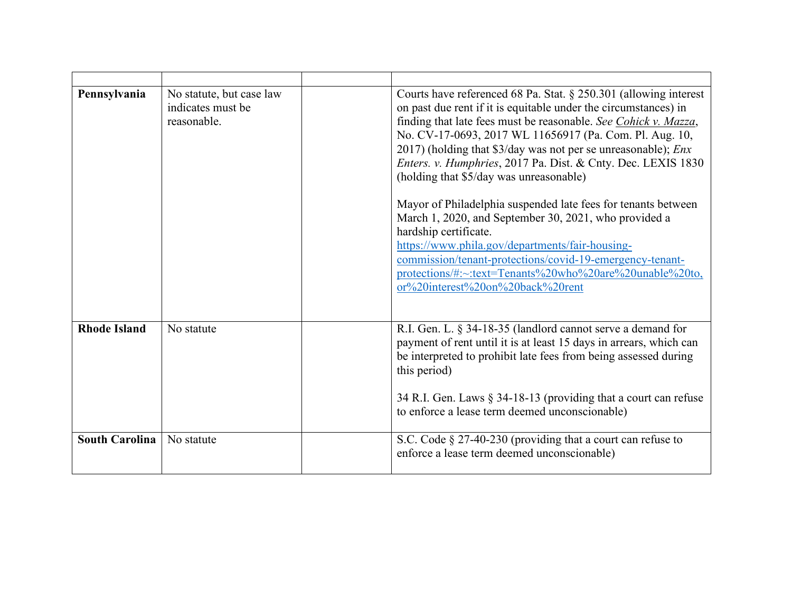| Pennsylvania          | No statute, but case law<br>indicates must be<br>reasonable. | Courts have referenced 68 Pa. Stat. § 250.301 (allowing interest<br>on past due rent if it is equitable under the circumstances) in<br>finding that late fees must be reasonable. See Cohick v. Mazza,<br>No. CV-17-0693, 2017 WL 11656917 (Pa. Com. Pl. Aug. 10,<br>2017) (holding that $\frac{3}{day}$ was not per se unreasonable); <i>Enx</i><br>Enters. v. Humphries, 2017 Pa. Dist. & Cnty. Dec. LEXIS 1830<br>(holding that \$5/day was unreasonable)<br>Mayor of Philadelphia suspended late fees for tenants between<br>March 1, 2020, and September 30, 2021, who provided a<br>hardship certificate.<br>https://www.phila.gov/departments/fair-housing-<br>commission/tenant-protections/covid-19-emergency-tenant-<br>protections/#:~:text=Tenants%20who%20are%20unable%20to,<br>or%20interest%20on%20back%20rent |
|-----------------------|--------------------------------------------------------------|-------------------------------------------------------------------------------------------------------------------------------------------------------------------------------------------------------------------------------------------------------------------------------------------------------------------------------------------------------------------------------------------------------------------------------------------------------------------------------------------------------------------------------------------------------------------------------------------------------------------------------------------------------------------------------------------------------------------------------------------------------------------------------------------------------------------------------|
| <b>Rhode Island</b>   | No statute                                                   | R.I. Gen. L. § 34-18-35 (landlord cannot serve a demand for<br>payment of rent until it is at least 15 days in arrears, which can<br>be interpreted to prohibit late fees from being assessed during<br>this period)<br>34 R.I. Gen. Laws § 34-18-13 (providing that a court can refuse<br>to enforce a lease term deemed unconscionable)                                                                                                                                                                                                                                                                                                                                                                                                                                                                                     |
| <b>South Carolina</b> | No statute                                                   | S.C. Code § 27-40-230 (providing that a court can refuse to<br>enforce a lease term deemed unconscionable)                                                                                                                                                                                                                                                                                                                                                                                                                                                                                                                                                                                                                                                                                                                    |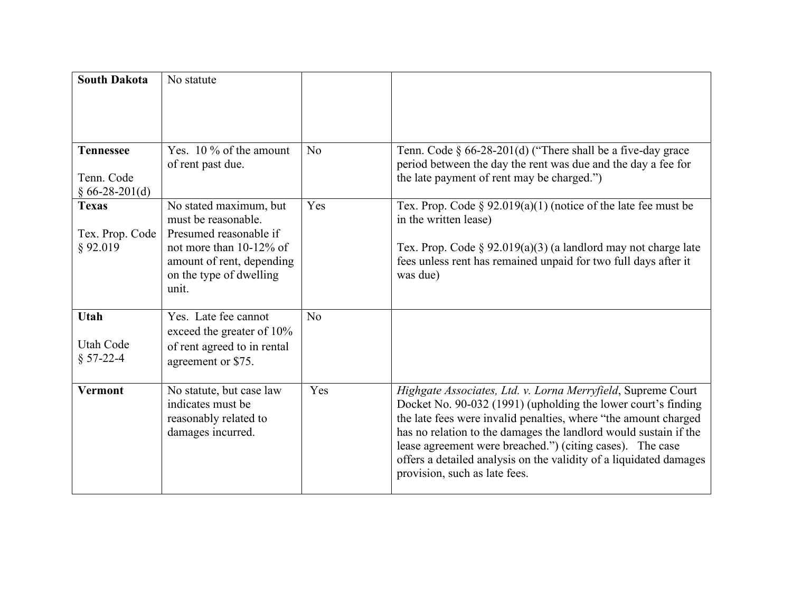| <b>South Dakota</b>                                | No statute                                                                                                                                                             |     |                                                                                                                                                                                                                                                                                                                                                                                                                                          |
|----------------------------------------------------|------------------------------------------------------------------------------------------------------------------------------------------------------------------------|-----|------------------------------------------------------------------------------------------------------------------------------------------------------------------------------------------------------------------------------------------------------------------------------------------------------------------------------------------------------------------------------------------------------------------------------------------|
|                                                    |                                                                                                                                                                        |     |                                                                                                                                                                                                                                                                                                                                                                                                                                          |
| <b>Tennessee</b><br>Tenn. Code<br>$§ 66-28-201(d)$ | Yes. $10\%$ of the amount<br>of rent past due.                                                                                                                         | No  | Tenn. Code $\S$ 66-28-201(d) ("There shall be a five-day grace<br>period between the day the rent was due and the day a fee for<br>the late payment of rent may be charged.")                                                                                                                                                                                                                                                            |
| <b>Texas</b><br>Tex. Prop. Code<br>§ 92.019        | No stated maximum, but<br>must be reasonable.<br>Presumed reasonable if<br>not more than $10-12\%$ of<br>amount of rent, depending<br>on the type of dwelling<br>unit. | Yes | Tex. Prop. Code § 92.019(a)(1) (notice of the late fee must be<br>in the written lease)<br>Tex. Prop. Code $\S$ 92.019(a)(3) (a landlord may not charge late<br>fees unless rent has remained unpaid for two full days after it<br>was due)                                                                                                                                                                                              |
| <b>Utah</b><br>Utah Code<br>$§ 57-22-4$            | Yes. Late fee cannot<br>exceed the greater of 10%<br>of rent agreed to in rental<br>agreement or \$75.                                                                 | No  |                                                                                                                                                                                                                                                                                                                                                                                                                                          |
| <b>Vermont</b>                                     | No statute, but case law<br>indicates must be<br>reasonably related to<br>damages incurred.                                                                            | Yes | Highgate Associates, Ltd. v. Lorna Merryfield, Supreme Court<br>Docket No. 90-032 (1991) (upholding the lower court's finding<br>the late fees were invalid penalties, where "the amount charged<br>has no relation to the damages the landlord would sustain if the<br>lease agreement were breached.") (citing cases). The case<br>offers a detailed analysis on the validity of a liquidated damages<br>provision, such as late fees. |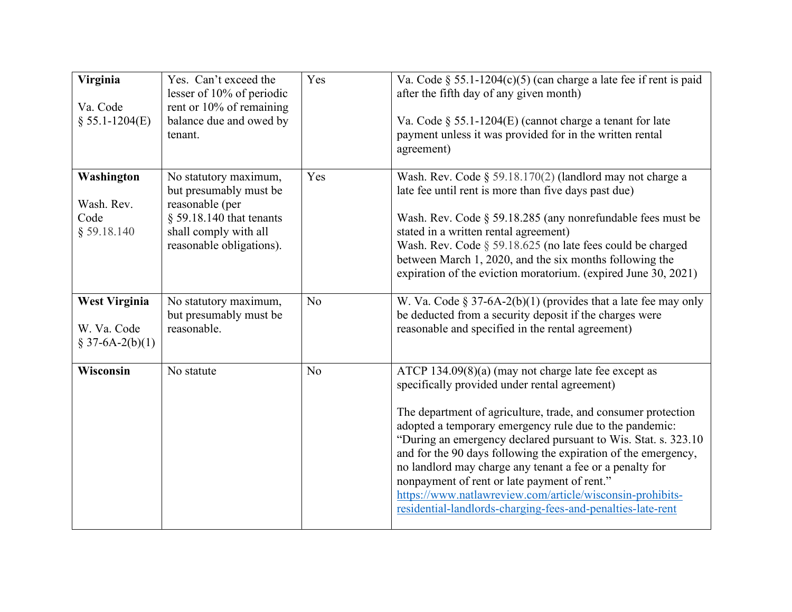| Virginia<br>Va. Code<br>$$55.1-1204(E)$                 | Yes. Can't exceed the<br>lesser of 10% of periodic<br>rent or 10% of remaining<br>balance due and owed by<br>tenant.                                  | Yes            | Va. Code § 55.1-1204(c)(5) (can charge a late fee if rent is paid<br>after the fifth day of any given month)<br>Va. Code $\S$ 55.1-1204(E) (cannot charge a tenant for late<br>payment unless it was provided for in the written rental<br>agreement)                                                                                                                                                                                                                                                                                                                                                         |
|---------------------------------------------------------|-------------------------------------------------------------------------------------------------------------------------------------------------------|----------------|---------------------------------------------------------------------------------------------------------------------------------------------------------------------------------------------------------------------------------------------------------------------------------------------------------------------------------------------------------------------------------------------------------------------------------------------------------------------------------------------------------------------------------------------------------------------------------------------------------------|
| Washington<br>Wash. Rev.<br>Code<br>$§$ 59.18.140       | No statutory maximum,<br>but presumably must be<br>reasonable (per<br>$§$ 59.18.140 that tenants<br>shall comply with all<br>reasonable obligations). | Yes            | Wash. Rev. Code § 59.18.170(2) (landlord may not charge a<br>late fee until rent is more than five days past due)<br>Wash. Rev. Code § 59.18.285 (any nonrefundable fees must be<br>stated in a written rental agreement)<br>Wash. Rev. Code § 59.18.625 (no late fees could be charged<br>between March 1, 2020, and the six months following the<br>expiration of the eviction moratorium. (expired June 30, 2021)                                                                                                                                                                                          |
| <b>West Virginia</b><br>W. Va. Code<br>$$37-6A-2(b)(1)$ | No statutory maximum,<br>but presumably must be<br>reasonable.                                                                                        | N <sub>o</sub> | W. Va. Code § 37-6A-2(b)(1) (provides that a late fee may only<br>be deducted from a security deposit if the charges were<br>reasonable and specified in the rental agreement)                                                                                                                                                                                                                                                                                                                                                                                                                                |
| Wisconsin                                               | No statute                                                                                                                                            | N <sub>o</sub> | ATCP 134.09(8)(a) (may not charge late fee except as<br>specifically provided under rental agreement)<br>The department of agriculture, trade, and consumer protection<br>adopted a temporary emergency rule due to the pandemic:<br>"During an emergency declared pursuant to Wis. Stat. s. 323.10<br>and for the 90 days following the expiration of the emergency,<br>no landlord may charge any tenant a fee or a penalty for<br>nonpayment of rent or late payment of rent."<br>https://www.natlawreview.com/article/wisconsin-prohibits-<br>residential-landlords-charging-fees-and-penalties-late-rent |